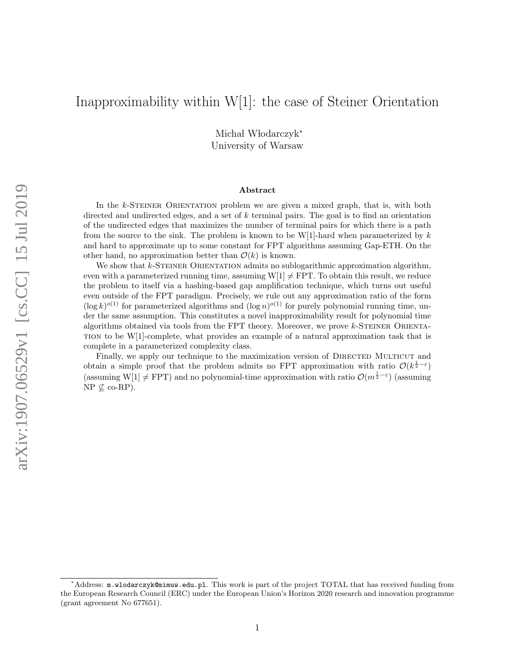# Inapproximability within W[1]: the case of Steiner Orientation

Michał Włodarczyk<sup>\*</sup> University of Warsaw

#### Abstract

In the k-STEINER ORIENTATION problem we are given a mixed graph, that is, with both directed and undirected edges, and a set of  $k$  terminal pairs. The goal is to find an orientation of the undirected edges that maximizes the number of terminal pairs for which there is a path from the source to the sink. The problem is known to be W[1]-hard when parameterized by  $k$ and hard to approximate up to some constant for FPT algorithms assuming Gap-ETH. On the other hand, no approximation better than  $\mathcal{O}(k)$  is known.

We show that  $k$ -STEINER ORIENTATION admits no sublogarithmic approximation algorithm, even with a parameterized running time, assuming  $W[1] \neq FPT$ . To obtain this result, we reduce the problem to itself via a hashing-based gap amplification technique, which turns out useful even outside of the FPT paradigm. Precisely, we rule out any approximation ratio of the form  $(\log k)^{o(1)}$  for parameterized algorithms and  $(\log n)^{o(1)}$  for purely polynomial running time, under the same assumption. This constitutes a novel inapproximability result for polynomial time algorithms obtained via tools from the FPT theory. Moreover, we prove  $k$ -STEINER ORIENTA-TION to be  $W[1]$ -complete, what provides an example of a natural approximation task that is complete in a parameterized complexity class.

Finally, we apply our technique to the maximization version of DIRECTED MULTICUT and obtain a simple proof that the problem admits no FPT approximation with ratio  $\mathcal{O}(k^{\frac{1}{2}-\varepsilon})$ (assuming W[1]  $\neq$  FPT) and no polynomial-time approximation with ratio  $\mathcal{O}(m^{\frac{1}{2}-\epsilon})$  (assuming  $NP \nsubseteq co-RP$ ).

<sup>∗</sup>Address: m.wlodarczyk@mimuw.edu.pl. This work is part of the project TOTAL that has received funding from the European Research Council (ERC) under the European Union's Horizon 2020 research and innovation programme (grant agreement No 677651).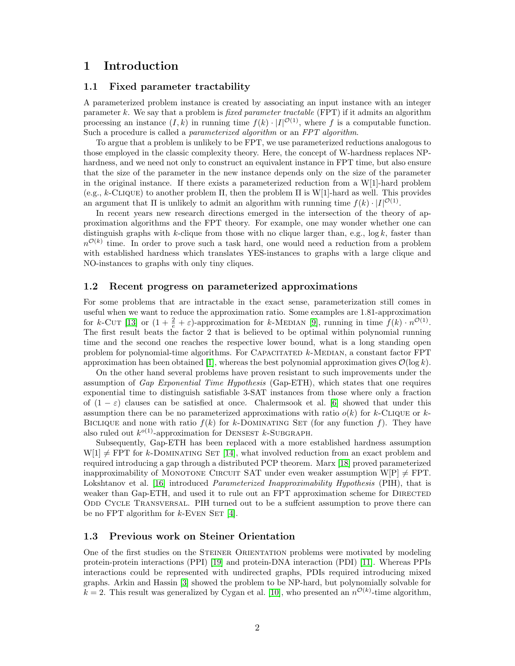# 1 Introduction

### 1.1 Fixed parameter tractability

A parameterized problem instance is created by associating an input instance with an integer parameter k. We say that a problem is fixed parameter tractable (FPT) if it admits an algorithm processing an instance  $(I, k)$  in running time  $f(k) \cdot |I|^{O(1)}$ , where f is a computable function. Such a procedure is called a *parameterized algorithm* or an FPT algorithm.

To argue that a problem is unlikely to be FPT, we use parameterized reductions analogous to those employed in the classic complexity theory. Here, the concept of W-hardness replaces NPhardness, and we need not only to construct an equivalent instance in FPT time, but also ensure that the size of the parameter in the new instance depends only on the size of the parameter in the original instance. If there exists a parameterized reduction from a  $W[1]$ -hard problem (e.g., k-CLIQUE) to another problem  $\Pi$ , then the problem  $\Pi$  is W[1]-hard as well. This provides an argument that  $\Pi$  is unlikely to admit an algorithm with running time  $f(k) \cdot |I|^{O(1)}$ .

In recent years new research directions emerged in the intersection of the theory of approximation algorithms and the FPT theory. For example, one may wonder whether one can distinguish graphs with k-clique from those with no clique larger than, e.g.,  $\log k$ , faster than  $n^{\mathcal{O}(k)}$  time. In order to prove such a task hard, one would need a reduction from a problem with established hardness which translates YES-instances to graphs with a large clique and NO-instances to graphs with only tiny cliques.

### 1.2 Recent progress on parameterized approximations

For some problems that are intractable in the exact sense, parameterization still comes in useful when we want to reduce the approximation ratio. Some examples are 1.81-approximation for k-CUT [\[13\]](#page-13-0) or  $(1 + \frac{2}{e} + \varepsilon)$ -approximation for k-MEDIAN [\[9\]](#page-12-0), running in time  $f(k) \cdot n^{\mathcal{O}(1)}$ . The first result beats the factor 2 that is believed to be optimal within polynomial running time and the second one reaches the respective lower bound, what is a long standing open problem for polynomial-time algorithms. For CAPACITATED  $k$ -MEDIAN, a constant factor FPT approximation has been obtained [\[1\]](#page-12-1), whereas the best polynomial approximation gives  $\mathcal{O}(\log k)$ .

On the other hand several problems have proven resistant to such improvements under the assumption of Gap Exponential Time Hypothesis (Gap-ETH), which states that one requires exponential time to distinguish satisfiable 3-SAT instances from those where only a fraction of  $(1 - \varepsilon)$  clauses can be satisfied at once. Chalermsook et al. [\[6\]](#page-12-2) showed that under this assumption there can be no parameterized approximations with ratio  $o(k)$  for k-CLIQUE or k-BICLIQUE and none with ratio  $f(k)$  for k-DOMINATING SET (for any function f). They have also ruled out  $k^{o(1)}$ -approximation for DENSEST  $k$ -SUBGRAPH.

Subsequently, Gap-ETH has been replaced with a more established hardness assumption  $W[1] \neq FPT$  for k-DOMINATING SET [\[14\]](#page-13-1), what involved reduction from an exact problem and required introducing a gap through a distributed PCP theorem. Marx [\[18\]](#page-13-2) proved parameterized inapproximability of MONOTONE CIRCUIT SAT under even weaker assumption  $W[P] \neq FPT$ . Lokshtanov et al. [\[16\]](#page-13-3) introduced Parameterized Inapproximability Hypothesis (PIH), that is weaker than Gap-ETH, and used it to rule out an FPT approximation scheme for DIRECTED ODD CYCLE TRANSVERSAL. PIH turned out to be a sufficient assumption to prove there can be no FPT algorithm for  $k$ -EVEN SET [\[4\]](#page-12-3).

### 1.3 Previous work on Steiner Orientation

One of the first studies on the STEINER ORIENTATION problems were motivated by modeling protein-protein interactions (PPI) [\[19\]](#page-13-4) and protein-DNA interaction (PDI) [\[11\]](#page-12-4). Whereas PPIs interactions could be represented with undirected graphs, PDIs required introducing mixed graphs. Arkin and Hassin [\[3\]](#page-12-5) showed the problem to be NP-hard, but polynomially solvable for  $k = 2$ . This result was generalized by Cygan et al. [\[10\]](#page-12-6), who presented an  $n^{\mathcal{O}(k)}$ -time algorithm,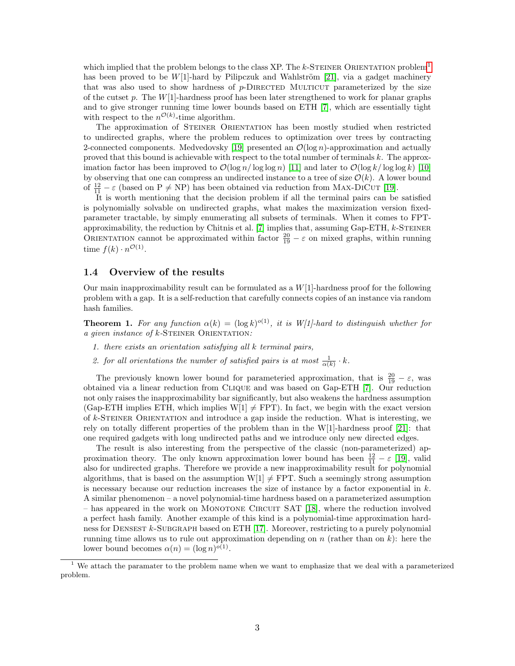which implied that the problem belongs to the class XP. The k-STEINER ORIENTATION problem<sup>[1](#page-2-0)</sup> has been proved to be  $W[1]$ -hard by Pilipczuk and Wahlström [\[21\]](#page-13-5), via a gadget machinery that was also used to show hardness of  $p$ -DIRECTED MULTICUT parameterized by the size of the cutset p. The  $W[1]$ -hardness proof has been later strengthened to work for planar graphs and to give stronger running time lower bounds based on ETH [\[7\]](#page-12-7), which are essentially tight with respect to the  $n^{\mathcal{O}(k)}$ -time algorithm.

The approximation of STEINER ORIENTATION has been mostly studied when restricted to undirected graphs, where the problem reduces to optimization over trees by contracting 2-connected components. Medvedovsky [\[19\]](#page-13-4) presented an  $\mathcal{O}(\log n)$ -approximation and actually proved that this bound is achievable with respect to the total number of terminals k. The approximation factor has been improved to  $\mathcal{O}(\log n / \log \log n)$  [\[11\]](#page-12-4) and later to  $\mathcal{O}(\log k / \log \log k)$  [\[10\]](#page-12-6) by observing that one can compress an undirected instance to a tree of size  $\mathcal{O}(k)$ . A lower bound of  $\frac{12}{11} - \varepsilon$  (based on P  $\neq$  NP) has been obtained via reduction from MAX-DICUT [\[19\]](#page-13-4).

It is worth mentioning that the decision problem if all the terminal pairs can be satisfied is polynomially solvable on undirected graphs, what makes the maximization version fixedparameter tractable, by simply enumerating all subsets of terminals. When it comes to FPTapproximability, the reduction by Chitnis et al.  $[7]$  implies that, assuming Gap-ETH,  $k$ -STEINER ORIENTATION cannot be approximated within factor  $\frac{20}{19} - \varepsilon$  on mixed graphs, within running time  $f(k) \cdot n^{\mathcal{O}(1)}$ .

### 1.4 Overview of the results

Our main inapproximability result can be formulated as a  $W[1]$ -hardness proof for the following problem with a gap. It is a self-reduction that carefully connects copies of an instance via random hash families.

**Theorem 1.** For any function  $\alpha(k) = (\log k)^{o(1)}$ , it is W[1]-hard to distinguish whether for a given instance of  $k$ -STEINER ORIENTATION:

- 1. there exists an orientation satisfying all k terminal pairs,
- 2. for all orientations the number of satisfied pairs is at most  $\frac{1}{\alpha(k)} \cdot k$ .

The previously known lower bound for parameteried approximation, that is  $\frac{20}{19} - \varepsilon$ , was obtained via a linear reduction from Clique and was based on Gap-ETH [\[7\]](#page-12-7). Our reduction not only raises the inapproximability bar significantly, but also weakens the hardness assumption (Gap-ETH implies ETH, which implies  $W[1] \neq FPT$ ). In fact, we begin with the exact version of  $k$ -STEINER ORIENTATION and introduce a gap inside the reduction. What is interesting, we rely on totally different properties of the problem than in the W[1]-hardness proof [\[21\]](#page-13-5): that one required gadgets with long undirected paths and we introduce only new directed edges.

The result is also interesting from the perspective of the classic (non-parameterized) approximation theory. The only known approximation lower bound has been  $\frac{12}{11} - \varepsilon$  [\[19\]](#page-13-4), valid also for undirected graphs. Therefore we provide a new inapproximability result for polynomial algorithms, that is based on the assumption  $W[1] \neq FPT$ . Such a seemingly strong assumption is necessary because our reduction increases the size of instance by a factor exponential in  $k$ . A similar phenomenon – a novel polynomial-time hardness based on a parameterized assumption – has appeared in the work on Monotone Circuit SAT [\[18\]](#page-13-2), where the reduction involved a perfect hash family. Another example of this kind is a polynomial-time approximation hard-ness for DENSEST k-SUBGRAPH based on ETH [\[17\]](#page-13-6). Moreover, restricting to a purely polynomial running time allows us to rule out approximation depending on n (rather than on k): here the lower bound becomes  $\alpha(n) = (\log n)^{o(1)}$ .

<span id="page-2-0"></span><sup>&</sup>lt;sup>1</sup> We attach the paramater to the problem name when we want to emphasize that we deal with a parameterized problem.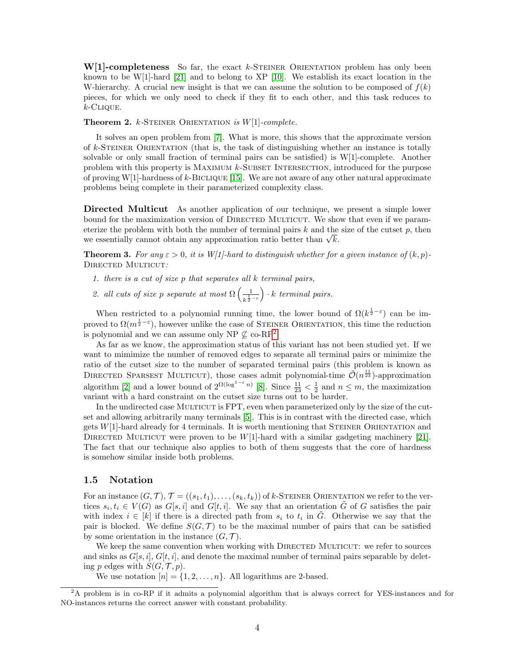$W[1]$ -completeness So far, the exact k-STEINER ORIENTATION problem has only been known to be W[1]-hard [\[21\]](#page-13-5) and to belong to XP [\[10\]](#page-12-6). We establish its exact location in the W-hierarchy. A crucial new insight is that we can assume the solution to be composed of  $f(k)$ pieces, for which we only need to check if they fit to each other, and this task reduces to  $k$ -Clique.

**Theorem 2.** k-STEINER ORIENTATION is  $W[1]$ -complete.

It solves an open problem from [\[7\]](#page-12-7). What is more, this shows that the approximate version of  $k$ -STEINER ORIENTATION (that is, the task of distinguishing whether an instance is totally solvable or only small fraction of terminal pairs can be satisfied) is W[1]-complete. Another problem with this property is MAXIMUM k-SUBSET INTERSECTION, introduced for the purpose of proving W[1]-hardness of k-BICLIQUE [\[15\]](#page-13-7). We are not aware of any other natural approximate problems being complete in their parameterized complexity class.

Directed Multicut As another application of our technique, we present a simple lower bound for the maximization version of DIRECTED MULTICUT. We show that even if we parameterize the problem with both the number of terminal pairs  $k$  and the size of the cutset  $p$ , then eterize the problem with both the number of terminal pairs  $\kappa$  and the we essentially cannot obtain any approximation ratio better than  $\sqrt{k}$ .

<span id="page-3-1"></span>**Theorem 3.** For any  $\varepsilon > 0$ , it is W[1]-hard to distinguish whether for a given instance of  $(k, p)$ -DIRECTED MULTICUT:

- 1. there is a cut of size  $p$  that separates all  $k$  terminal pairs,
- 2. all cuts of size p separate at most  $\Omega\left(\frac{1}{1}\right)$  $k^{\frac{1}{2}-\varepsilon}$  $\big) \cdot k$  terminal pairs.

When restricted to a polynomial running time, the lower bound of  $\Omega(k^{\frac{1}{2}-\epsilon})$  can be improved to  $\Omega(m^{\frac{1}{2}-\varepsilon})$ , however unlike the case of STEINER ORIENTATION, this time the reduction is polynomial and we can assume only NP  $\mathcal{L}$  co-RP<sup>[2](#page-3-0)</sup>.

As far as we know, the approximation status of this variant has not been studied yet. If we want to mimimize the number of removed edges to separate all terminal pairs or minimize the ratio of the cutset size to the number of separated terminal pairs (this problem is known as DIRECTED SPARSEST MULTICUT), those cases admit polynomial-time  $\tilde{\mathcal{O}}(n^{\frac{11}{23}})$ -approximation algorithm [\[2\]](#page-12-8) and a lower bound of  $2^{\Omega(\log^{1-\varepsilon} n)}$  [\[8\]](#page-12-9). Since  $\frac{11}{23} < \frac{1}{2}$  and  $n \leq m$ , the maximization variant with a hard constraint on the cutset size turns out to be harder.

In the undirected case MULTICUT is FPT, even when parameterized only by the size of the cutset and allowing arbitrarily many terminals [\[5\]](#page-12-10). This is in contrast with the directed case, which gets  $W[1]$ -hard already for 4 terminals. It is worth mentioning that STEINER ORIENTATION and DIRECTED MULTICUT were proven to be  $W[1]$ -hard with a similar gadgeting machinery [\[21\]](#page-13-5). The fact that our technique also applies to both of them suggests that the core of hardness is somehow similar inside both problems.

#### 1.5 Notation

For an instance  $(G, \mathcal{T}), \mathcal{T} = ((s_1, t_1), \ldots, (s_k, t_k))$  of k-STEINER ORIENTATION we refer to the vertices  $s_i, t_i \in V(G)$  as  $G[s, i]$  and  $G[t, i]$ . We say that an orientation  $\tilde{G}$  of G satisfies the pair with index  $i \in [k]$  if there is a directed path from  $s_i$  to  $t_i$  in  $\tilde{G}$ . Otherwise we say that the pair is blocked. We define  $S(G, \mathcal{T})$  to be the maximal number of pairs that can be satisfied by some orientation in the instance  $(G, \mathcal{T})$ .

We keep the same convention when working with DIRECTED MULTICUT: we refer to sources and sinks as  $G[s, i], G[t, i]$ , and denote the maximal number of terminal pairs separable by deleting p edges with  $S(G, \mathcal{T}, p)$ .

We use notation  $[n] = \{1, 2, \ldots, n\}$ . All logarithms are 2-based.

<span id="page-3-0"></span><sup>&</sup>lt;sup>2</sup>A problem is in co-RP if it admits a polynomial algorithm that is always correct for YES-instances and for NO-instances returns the correct answer with constant probability.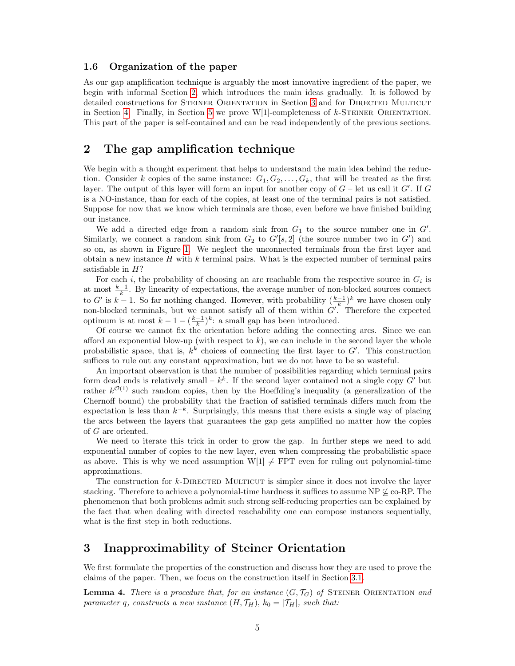### 1.6 Organization of the paper

As our gap amplification technique is arguably the most innovative ingredient of the paper, we begin with informal Section [2,](#page-4-0) which introduces the main ideas gradually. It is followed by detailed constructions for STEINER ORIENTATION in Section [3](#page-4-1) and for DIRECTED MULTICUT in Section [4.](#page-7-0) Finally, in Section [5](#page-9-0) we prove  $W[1]$ -completeness of k-STEINER ORIENTATION. This part of the paper is self-contained and can be read independently of the previous sections.

## <span id="page-4-0"></span>2 The gap amplification technique

We begin with a thought experiment that helps to understand the main idea behind the reduction. Consider k copies of the same instance:  $G_1, G_2, \ldots, G_k$ , that will be treated as the first layer. The output of this layer will form an input for another copy of  $G$  – let us call it  $G'$ . If  $G$ is a NO-instance, than for each of the copies, at least one of the terminal pairs is not satisfied. Suppose for now that we know which terminals are those, even before we have finished building our instance.

We add a directed edge from a random sink from  $G_1$  to the source number one in  $G'$ . Similarly, we connect a random sink from  $G_2$  to  $G'[s, 2]$  (the source number two in  $G'$ ) and so on, as shown in Figure [1.](#page-6-0) We neglect the unconnected terminals from the first layer and obtain a new instance  $H$  with  $k$  terminal pairs. What is the expected number of terminal pairs satisfiable in  $H$ ?

For each i, the probability of choosing an arc reachable from the respective source in  $G_i$  is at most  $\frac{k-1}{k}$ . By linearity of expectations, the average number of non-blocked sources connect to G' is  $k-1$ . So far nothing changed. However, with probability  $(\frac{k-1}{k})^k$  we have chosen only non-blocked terminals, but we cannot satisfy all of them within  $G'$ . Therefore the expected optimum is at most  $k - 1 - \left(\frac{k-1}{k}\right)^k$ : a small gap has been introduced.

Of course we cannot fix the orientation before adding the connecting arcs. Since we can afford an exponential blow-up (with respect to  $k$ ), we can include in the second layer the whole probabilistic space, that is,  $k^k$  choices of connecting the first layer to  $G'$ . This construction suffices to rule out any constant approximation, but we do not have to be so wasteful.

An important observation is that the number of possibilities regarding which terminal pairs form dead ends is relatively small –  $k^k$ . If the second layer contained not a single copy G' but rather  $k^{\mathcal{O}(1)}$  such random copies, then by the Hoeffding's inequality (a generalization of the Chernoff bound) the probability that the fraction of satisfied terminals differs much from the expectation is less than  $k^{-k}$ . Surprisingly, this means that there exists a single way of placing the arcs between the layers that guarantees the gap gets amplified no matter how the copies of G are oriented.

We need to iterate this trick in order to grow the gap. In further steps we need to add exponential number of copies to the new layer, even when compressing the probabilistic space as above. This is why we need assumption  $W[1] \neq FPT$  even for ruling out polynomial-time approximations.

The construction for  $k$ -DIRECTED MULTICUT is simpler since it does not involve the layer stacking. Therefore to achieve a polynomial-time hardness it suffices to assume NP  $\&$  co-RP. The phenomenon that both problems admit such strong self-reducing properties can be explained by the fact that when dealing with directed reachability one can compose instances sequentially, what is the first step in both reductions.

### <span id="page-4-1"></span>3 Inapproximability of Steiner Orientation

We first formulate the properties of the construction and discuss how they are used to prove the claims of the paper. Then, we focus on the construction itself in Section [3.1.](#page-6-1)

<span id="page-4-2"></span>**Lemma 4.** There is a procedure that, for an instance  $(G, \mathcal{T}_G)$  of STEINER ORIENTATION and parameter q, constructs a new instance  $(H, \mathcal{T}_H)$ ,  $k_0 = |\mathcal{T}_H|$ , such that: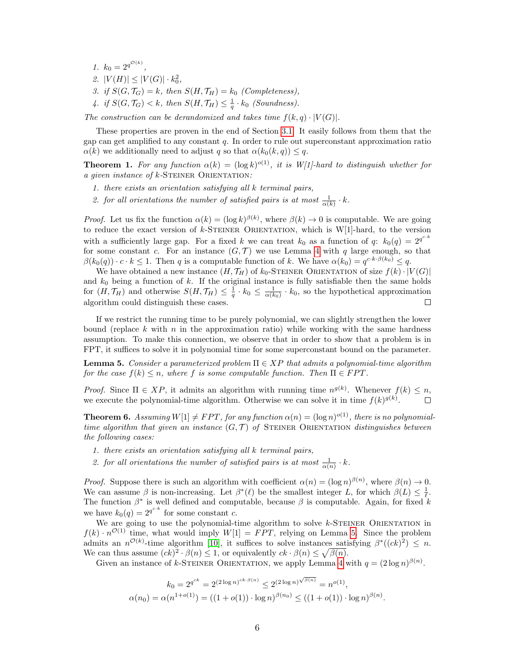1.  $k_0 = 2^{q^{\mathcal{O}(k)}}$ , 2.  $|V(H)| \leq |V(G)| \cdot k_0^2$ , 3. if  $S(G, \mathcal{T}_G) = k$ , then  $S(H, \mathcal{T}_H) = k_0$  (Completeness), 4. if  $S(G, \mathcal{T}_G) < k$ , then  $S(H, \mathcal{T}_H) \leq \frac{1}{q} \cdot k_0$  (Soundness).

The construction can be derandomized and takes time  $f(k, q) \cdot |V(G)|$ .

These properties are proven in the end of Section [3.1.](#page-6-1) It easily follows from them that the gap can get amplified to any constant  $q$ . In order to rule out superconstant approximation ratio  $\alpha(k)$  we additionally need to adjust q so that  $\alpha(k_0(k,q)) \leq q$ .

**Theorem 1.** For any function  $\alpha(k) = (\log k)^{o(1)}$ , it is W[1]-hard to distinguish whether for a given instance of  $k$ -STEINER ORIENTATION:

- 1. there exists an orientation satisfying all k terminal pairs,
- 2. for all orientations the number of satisfied pairs is at most  $\frac{1}{\alpha(k)} \cdot k$ .

*Proof.* Let us fix the function  $\alpha(k) = (\log k)^{\beta(k)}$ , where  $\beta(k) \to 0$  is computable. We are going to reduce the exact version of  $k$ -STEINER ORIENTATION, which is  $W[1]$ -hard, to the version with a sufficiently large gap. For a fixed k we can treat  $k_0$  as a function of q:  $k_0(q) = 2^{q^{c k}}$ for some constant c. For an instance  $(G, \mathcal{T})$  we use Lemma [4](#page-4-2) with q large enough, so that  $\beta(k_0(q)) \cdot c \cdot k \leq 1$ . Then q is a computable function of k. We have  $\alpha(k_0) = q^{c \cdot k \cdot \beta(k_0)} \leq q$ .

We have obtained a new instance  $(H, \mathcal{T}_H)$  of  $k_0$ -Steiner Orientation of size  $f(k) \cdot |V(G)|$ and  $k_0$  being a function of k. If the original instance is fully satisfiable then the same holds for  $(H, \mathcal{T}_H)$  and otherwise  $S(H, \mathcal{T}_H) \leq \frac{1}{q} \cdot k_0 \leq \frac{1}{\alpha(k_0)} \cdot k_0$ , so the hypothetical approximation algorithm could distinguish these cases.  $\Box$ 

If we restrict the running time to be purely polynomial, we can slightly strengthen the lower bound (replace k with  $n$  in the approximation ratio) while working with the same hardness assumption. To make this connection, we observe that in order to show that a problem is in FPT, it suffices to solve it in polynomial time for some superconstant bound on the parameter.

<span id="page-5-0"></span>**Lemma 5.** Consider a parameterized problem  $\Pi \in XP$  that admits a polynomial-time algorithm for the case  $f(k) \leq n$ , where f is some computable function. Then  $\Pi \in FPT$ .

Proof. Since  $\Pi \in XP$ , it admits an algorithm with running time  $n^{g(k)}$ . Whenever  $f(k) \leq n$ , we execute the polynomial-time algorithm. Otherwise we can solve it in time  $f(k)^{g(k)}$ .  $\Box$ 

**Theorem 6.** Assuming  $W[1] \neq FPT$ , for any function  $\alpha(n) = (\log n)^{o(1)}$ , there is no polynomialtime algorithm that given an instance  $(G, \mathcal{T})$  of STEINER ORIENTATION distinguishes between the following cases:

- 1. there exists an orientation satisfying all k terminal pairs,
- 2. for all orientations the number of satisfied pairs is at most  $\frac{1}{\alpha(n)} \cdot k$ .

*Proof.* Suppose there is such an algorithm with coefficient  $\alpha(n) = (\log n)^{\beta(n)}$ , where  $\beta(n) \to 0$ . We can assume  $\beta$  is non-increasing. Let  $\beta^*(\ell)$  be the smallest integer L, for which  $\beta(L) \leq \frac{1}{\ell}$ . The function  $\beta^*$  is well defined and computable, because  $\beta$  is computable. Again, for fixed k we have  $k_0(q) = 2^{q^{c \cdot k}}$  for some constant c.

We are going to use the polynomial-time algorithm to solve  $k$ -STEINER ORIENTATION in  $f(k) \cdot n^{\mathcal{O}(1)}$  time, what would imply  $W[1] = FPT$ , relying on Lemma [5.](#page-5-0) Since the problem admits an  $n^{\mathcal{O}(k)}$ -time algorithm [\[10\]](#page-12-6), it suffices to solve instances satisfying  $\beta^*((ck)^2) \leq n$ . We can thus assume  $(ck)^2 \cdot \beta(n) \leq 1$ , or equivalently  $ck \cdot \beta(n) \leq \sqrt{\beta(n)}$ .

Given an instance of k-STEINER ORIENTATION, we apply Lemma [4](#page-4-2) with  $q = (2 \log n)^{\beta(n)}$ .

$$
k_0 = 2^{q^{ck}} = 2^{(2\log n)^{ck \cdot \beta(n)}} \le 2^{(2\log n)^{\sqrt{\beta(n)}}} = n^{o(1)},
$$
  

$$
\alpha(n_0) = \alpha(n^{1+o(1)}) = ((1+o(1)) \cdot \log n)^{\beta(n_0)} \le ((1+o(1)) \cdot \log n)^{\beta(n)}.
$$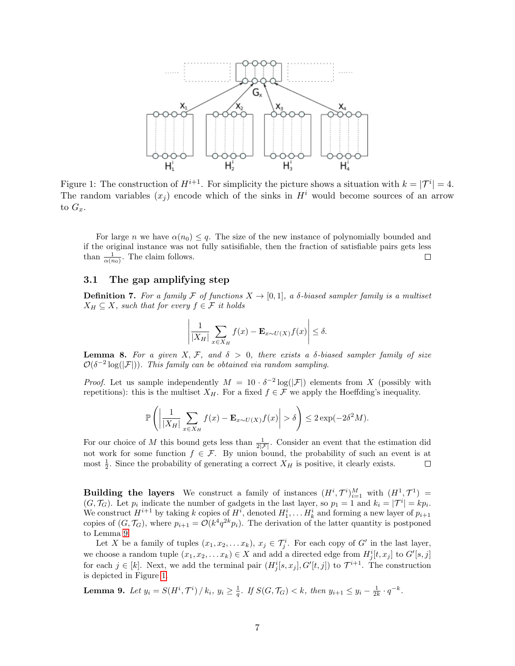<span id="page-6-0"></span>

Figure 1: The construction of  $H^{i+1}$ . For simplicity the picture shows a situation with  $k = |\mathcal{T}^i| = 4$ . The random variables  $(x_i)$  encode which of the sinks in  $H<sup>i</sup>$  would become sources of an arrow to  $G_x$ .

For large n we have  $\alpha(n_0) \leq q$ . The size of the new instance of polynomially bounded and if the original instance was not fully satisifiable, then the fraction of satisfiable pairs gets less than  $\frac{1}{\alpha(n_0)}$ . The claim follows.  $\Box$ 

### <span id="page-6-1"></span>3.1 The gap amplifying step

**Definition 7.** For a family F of functions  $X \to [0,1]$ , a  $\delta$ -biased sampler family is a multiset  $X_H \subseteq X$ , such that for every  $f \in \mathcal{F}$  it holds

$$
\left| \frac{1}{|X_H|} \sum_{x \in X_H} f(x) - \mathbf{E}_{x \sim U(X)} f(x) \right| \le \delta.
$$

<span id="page-6-3"></span>**Lemma 8.** For a given X, F, and  $\delta > 0$ , there exists a  $\delta$ -biased sampler family of size  $\mathcal{O}(\delta^{-2}\log(|\mathcal{F}|)).$  This family can be obtained via random sampling.

*Proof.* Let us sample independently  $M = 10 \cdot \delta^{-2} \log(|\mathcal{F}|)$  elements from X (possibly with repetitions): this is the multiset  $X_H$ . For a fixed  $f \in \mathcal{F}$  we apply the Hoeffding's inequality.

$$
\mathbb{P}\left(\left|\frac{1}{|X_H|}\sum_{x\in X_H}f(x)-\mathbf{E}_{x\sim U(X)}f(x)\right|>\delta\right)\leq 2\exp(-2\delta^2M).
$$

For our choice of M this bound gets less than  $\frac{1}{2|\mathcal{F}|}$ . Consider an event that the estimation did not work for some function  $f \in \mathcal{F}$ . By union bound, the probability of such an event is at most  $\frac{1}{2}$ . Since the probability of generating a correct  $X_H$  is positive, it clearly exists.  $\Box$ 

**Building the layers** We construct a family of instances  $(H^{i}, \mathcal{T}^{i})_{i=1}^{M}$  with  $(H^{1}, \mathcal{T}^{1}) =$  $(G, \mathcal{T}_G)$ . Let  $p_i$  indicate the number of gadgets in the last layer, so  $p_1 = 1$  and  $k_i = |\mathcal{T}^i| = kp_i$ . We construct  $H^{i+1}$  by taking k copies of  $H^i$ , denoted  $H_1^i, \ldots, H_k^i$  and forming a new layer of  $p_{i+1}$ copies of  $(G, \mathcal{T}_G)$ , where  $p_{i+1} = \mathcal{O}(k^4 q^{2k} p_i)$ . The derivation of the latter quantity is postponed to Lemma [9.](#page-6-2)

Let X be a family of tuples  $(x_1, x_2, \ldots x_k)$ ,  $x_j \in \mathcal{T}_j^i$ . For each copy of G' in the last layer, we choose a random tuple  $(x_1, x_2, \ldots x_k) \in X$  and add a directed edge from  $H^i_j[t, x_j]$  to  $G'[s, j]$ for each  $j \in [k]$ . Next, we add the terminal pair  $(H_j^i[s, x_j], G'[t, j])$  to  $\mathcal{T}^{i+1}$ . The construction is depicted in Figure [1.](#page-6-0)

<span id="page-6-2"></span>**Lemma 9.** Let  $y_i = S(H^i, \mathcal{T}^i) / k_i$ ,  $y_i \geq \frac{1}{q}$ . If  $S(G, \mathcal{T}_G) < k$ , then  $y_{i+1} \leq y_i - \frac{1}{2k} \cdot q^{-k}$ .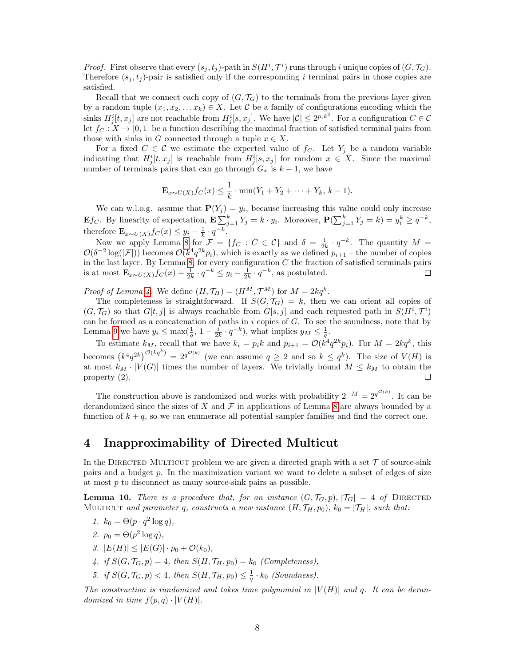*Proof.* First observe that every  $(s_j, t_j)$ -path in  $S(H^i, \mathcal{T}^i)$  runs through i unique copies of  $(G, \mathcal{T}_G)$ . Therefore  $(s_i, t_j)$ -pair is satisfied only if the corresponding i terminal pairs in those copies are satisfied.

Recall that we connect each copy of  $(G, \mathcal{T}_G)$  to the terminals from the previous layer given by a random tuple  $(x_1, x_2, \ldots x_k) \in X$ . Let C be a family of configurations encoding which the sinks  $H_j^i[t, x_j]$  are not reachable from  $H_j^i[s, x_j]$ . We have  $|\mathcal{C}| \leq 2^{p_i k^2}$ . For a configuration  $C \in \mathcal{C}$ let  $f_C : X \to [0,1]$  be a function describing the maximal fraction of satisfied terminal pairs from those with sinks in G connected through a tuple  $x \in X$ .

For a fixed  $C \in \mathcal{C}$  we estimate the expected value of  $f_C$ . Let  $Y_j$  be a random variable indicating that  $H^i_j[t, x_j]$  is reachable from  $H^i_j[s, x_j]$  for random  $x \in X$ . Since the maximal number of terminals pairs that can go through  $G_x$  is  $k-1$ , we have

$$
\mathbf{E}_{x \sim U(X)} f_C(x) \leq \frac{1}{k} \cdot \min(Y_1 + Y_2 + \dots + Y_k, k - 1).
$$

We can w.l.o.g. assume that  $P(Y_j) = y_i$ , because increasing this value could only increase **E***f<sub>C</sub>*. By linearity of expectation,  $\mathbf{E} \sum_{j=1}^{k} Y_j = k \cdot y_i$ . Moreover,  $\mathbf{P}(\sum_{j=1}^{k} Y_j = k) = y_i^k \ge q^{-k}$ , therefore  $\mathbf{E}_{x \sim U(X)} f_C(x) \leq y_i - \frac{1}{k} \cdot q^{-k}$ .

Now we apply Lemma [8](#page-6-3) for  $\mathcal{F} = \{f_C : C \in \mathcal{C}\}\$ and  $\delta = \frac{1}{2k} \cdot q^{-k}$ . The quantity  $M =$  $\mathcal{O}(\delta^{-2}\log(|\mathcal{F}|))$  becomes  $\mathcal{O}(k^4q^{2k}p_i)$ , which is exactly as we defined  $p_{i+1}$  – the number of copies in the last layer. By Lemma [8,](#page-6-3) for every configuration  $C$  the fraction of satisfied terminals pairs is at most  $\mathbf{E}_{x \sim U(X)} f_C(x) + \frac{1}{2k} \cdot q^{-k} \leq y_i - \frac{1}{2k} \cdot q^{-k}$ , as postulated.

*Proof of Lemma [4.](#page-4-2)* We define  $(H, \mathcal{T}_H) = (H^M, \mathcal{T}^M)$  for  $M = 2kq^k$ .

The completeness is straightforward. If  $S(G, \mathcal{T}_G) = k$ , then we can orient all copies of  $(G, \mathcal{T}_G)$  so that  $G[t, j]$  is always reachable from  $G[s, j]$  and each requested path in  $S(H^i, \mathcal{T}^i)$ can be formed as a concatenation of paths in  $i$  copies of  $G$ . To see the soundness, note that by Lemma [9](#page-6-2) we have  $y_i \le \max(\frac{1}{q}, 1 - \frac{i}{2k} \cdot q^{-k})$ , what implies  $y_M \le \frac{1}{q}$ .

To estimate  $k_M$ , recall that we have  $k_i = p_i k$  and  $p_{i+1} = \mathcal{O}(k^4 q^{2k} p_i)$ . For  $M = 2kq^k$ , this becomes  $(k^4q^{2k})^{\mathcal{O}(kq^k)} = 2^{q^{\mathcal{O}(k)}}$  (we can assume  $q \geq 2$  and so  $k \leq q^k$ ). The size of  $V(H)$  is at most  $k_M \cdot |V(G)|$  times the number of layers. We trivially bound  $M \leq k_M$  to obtain the property (2).  $\Box$ 

The construction above is randomized and works with probability  $2^{-M} = 2^{q^{\mathcal{O}(k)}}$ . It can be derandomized since the sizes of X and  $\mathcal F$  in applications of Lemma [8](#page-6-3) are always bounded by a function of  $k + q$ , so we can enumerate all potential sampler families and find the correct one.

# <span id="page-7-0"></span>4 Inapproximability of Directed Multicut

In the DIRECTED MULTICUT problem we are given a directed graph with a set  $\mathcal T$  of source-sink pairs and a budget p. In the maximization variant we want to delete a subset of edges of size at most p to disconnect as many source-sink pairs as possible.

<span id="page-7-1"></span>**Lemma 10.** There is a procedure that, for an instance  $(G, \mathcal{T}_G, p)$ ,  $|\mathcal{T}_G| = 4$  of DIRECTED MULTICUT and parameter q, constructs a new instance  $(H, \mathcal{T}_H, p_0)$ ,  $k_0 = |\mathcal{T}_H|$ , such that:

$$
1. \, k_0 = \Theta(p \cdot q^2 \log q),
$$

- 2.  $p_0 = \Theta(p^2 \log q)$ ,
- 3.  $|E(H)| \leq |E(G)| \cdot p_0 + \mathcal{O}(k_0),$
- 4. if  $S(G, \mathcal{T}_G, p) = 4$ , then  $S(H, \mathcal{T}_H, p_0) = k_0$  (Completeness),
- 5. if  $S(G, \mathcal{T}_G, p) < 4$ , then  $S(H, \mathcal{T}_H, p_0) \leq \frac{1}{q} \cdot k_0$  (Soundness).

The construction is randomized and takes time polynomial in  $|V(H)|$  and q. It can be derandomized in time  $f(p,q) \cdot |V(H)|$ .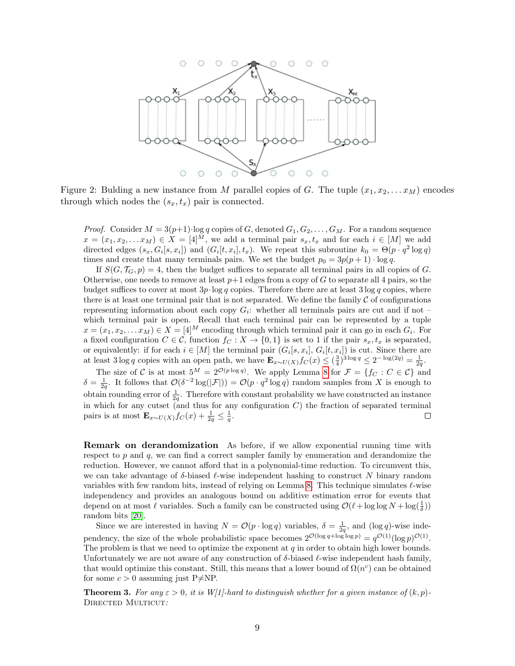

Figure 2: Bulding a new instance from M parallel copies of G. The tuple  $(x_1, x_2, \ldots, x_M)$  encodes through which nodes the  $(s_x, t_x)$  pair is connected.

*Proof.* Consider  $M = 3(p+1)$ ·log q copies of G, denoted  $G_1, G_2, \ldots, G_M$ . For a random sequence  $x = (x_1, x_2, \ldots x_M) \in X = [4]^M$ , we add a terminal pair  $s_x, t_x$  and for each  $i \in [M]$  we add directed edges  $(s_x, G_i[s, x_i])$  and  $(G_i[t, x_i], t_x)$ . We repeat this subroutine  $k_0 = \Theta(p \cdot q^2 \log q)$ times and create that many terminals pairs. We set the budget  $p_0 = 3p(p + 1) \cdot \log q$ .

If  $S(G, \mathcal{T}_G, p) = 4$ , then the budget suffices to separate all terminal pairs in all copies of G. Otherwise, one needs to remove at least  $p+1$  edges from a copy of G to separate all 4 pairs, so the budget suffices to cover at most  $3p \cdot \log q$  copies. Therefore there are at least  $3 \log q$  copies, where there is at least one terminal pair that is not separated. We define the family  $\mathcal C$  of configurations representing information about each copy  $G_i$ : whether all terminals pairs are cut and if not – which terminal pair is open. Recall that each terminal pair can be represented by a tuple  $x = (x_1, x_2, \dots x_M) \in X = [4]^M$  encoding through which terminal pair it can go in each  $G_i$ . For a fixed configuration  $C \in \mathcal{C}$ , function  $f_C : X \to \{0,1\}$  is set to 1 if the pair  $s_x, t_x$  is separated, or equivalently: if for each  $i \in [M]$  the terminal pair  $(G_i[s, x_i], G_i[t, x_i])$  is cut. Since there are at least 3 log q copies with an open path, we have  $\mathbf{E}_{x \sim U(X)} f_C(x) \leq (\frac{3}{4})^{3 \log q} \leq 2^{-\log(2q)} = \frac{1}{2q}$ .

The size of C is at most  $5^M = 2^{\mathcal{O}(p \log q)}$ . We apply Lemma [8](#page-6-3) for  $\mathcal{F} = \{f_C : C \in \mathcal{C}\}\$ and  $\delta = \frac{1}{2q}$ . It follows that  $\mathcal{O}(\delta^{-2} \log(|\mathcal{F}|)) = \mathcal{O}(p \cdot q^2 \log q)$  random samples from X is enough to obtain rounding error of  $\frac{1}{2q}$ . Therefore with constant probability we have constructed an instance in which for any cutset (and thus for any configuration  $C$ ) the fraction of separated terminal pairs is at most  $\mathbf{E}_{x \sim U(X)} f_C(x) + \frac{1}{2q} \leq \frac{1}{q}$ .  $\Box$ 

Remark on derandomization As before, if we allow exponential running time with respect to  $p$  and  $q$ , we can find a correct sampler family by enumeration and derandomize the reduction. However, we cannot afford that in a polynomial-time reduction. To circumvent this, we can take advantage of  $\delta$ -biased  $\ell$ -wise independent hashing to construct N binary random variables with few random bits, instead of relying on Lemma [8.](#page-6-3) This technique simulates  $\ell$ -wise independency and provides an analogous bound on additive estimation error for events that depend on at most  $\ell$  variables. Such a family can be constructed using  $\mathcal{O}(\ell + \log \log N + \log(\frac{1}{\delta}))$ random bits [\[20\]](#page-13-8).

Since we are interested in having  $N = \mathcal{O}(p \cdot \log q)$  variables,  $\delta = \frac{1}{2q}$ , and  $(\log q)$ -wise independency, the size of the whole probabilistic space becomes  $2^{\mathcal{O}(\log q + \log \log p)} = q^{\mathcal{O}(1)}(\log p)^{\mathcal{O}(1)}$ . The problem is that we need to optimize the exponent at  $q$  in order to obtain high lower bounds. Unfortunately we are not aware of any construction of  $\delta$ -biased  $\ell$ -wise independent hash family, that would optimize this constant. Still, this means that a lower bound of  $\Omega(n^c)$  can be obtained for some  $c > 0$  assuming just P $\neq$ NP.

**Theorem 3.** For any  $\varepsilon > 0$ , it is W[1]-hard to distinguish whether for a given instance of  $(k, p)$ -DIRECTED MULTICUT: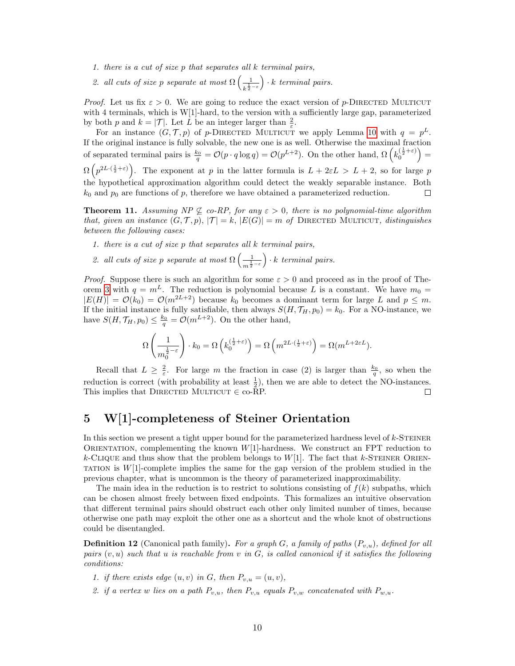- 1. there is a cut of size p that separates all k terminal pairs,
- 2. all cuts of size p separate at most  $\Omega\left(\frac{1}{1}\right)$  $k^{\frac{1}{2}-\varepsilon}$  $\big) \cdot k$  terminal pairs.

*Proof.* Let us fix  $\varepsilon > 0$ . We are going to reduce the exact version of p-DIRECTED MULTICUT with 4 terminals, which is W[1]-hard, to the version with a sufficiently large gap, parameterized by both p and  $k = |\mathcal{T}|$ . Let L be an integer larger than  $\frac{2}{\varepsilon}$ .

For an instance  $(G, \mathcal{T}, p)$  of p-DIRECTED MULTICUT we apply Lemma [10](#page-7-1) with  $q = p^L$ . If the original instance is fully solvable, the new one is as well. Otherwise the maximal fraction of separated terminal pairs is  $\frac{k_0}{q} = \mathcal{O}(p \cdot q \log q) = \mathcal{O}(p^{L+2})$ . On the other hand,  $\Omega\left(k_0^{\left(\frac{1}{2}+\varepsilon\right)}\right)$  $\Omega(p^{2L \cdot (\frac{1}{2} + \varepsilon)})$ . The exponent at p in the latter formula is  $L + 2\varepsilon L > L + 2$ , so for large p the hypothetical approximation algorithm could detect the weakly separable instance. Both  $k_0$  and  $p_0$  are functions of p, therefore we have obtained a parameterized reduction.  $\Box$ 

**Theorem 11.** Assuming  $NP \nsubseteq co-RP$ , for any  $\varepsilon > 0$ , there is no polynomial-time algorithm that, given an instance  $(G, \mathcal{T}, p), |\mathcal{T}| = k, |E(G)| = m$  of DIRECTED MULTICUT, distinguishes between the following cases:

- 1. there is a cut of size p that separates all k terminal pairs,
- 2. all cuts of size p separate at most  $\Omega\left(\frac{1}{1}\right)$  $\frac{1}{m^{\frac{1}{2}-\varepsilon}}$  $\big) \cdot k$  terminal pairs.

*Proof.* Suppose there is such an algorithm for some  $\varepsilon > 0$  and proceed as in the proof of The-orem [3](#page-3-1) with  $q = m<sup>L</sup>$ . The reduction is polynomial because L is a constant. We have  $m_0 =$  $|E(H)| = \mathcal{O}(k_0) = \mathcal{O}(m^{2L+2})$  because  $k_0$  becomes a dominant term for large L and  $p \leq m$ . If the initial instance is fully satisfiable, then always  $S(H, \mathcal{T}_H, p_0) = k_0$ . For a NO-instance, we have  $S(H, \mathcal{T}_H, p_0) \leq \frac{k_0}{q} = \mathcal{O}(m^{L+2})$ . On the other hand,

$$
\Omega\left(\frac{1}{m_0^{\frac{1}{2}-\varepsilon}}\right) \cdot k_0 = \Omega\left(k_0^{\left(\frac{1}{2}+\varepsilon\right)}\right) = \Omega\left(m^{2L\cdot\left(\frac{1}{2}+\varepsilon\right)}\right) = \Omega(m^{L+2\varepsilon L}).
$$

Recall that  $L \geq \frac{2}{\varepsilon}$ . For large m the fraction in case (2) is larger than  $\frac{k_0}{q}$ , so when the reduction is correct (with probability at least  $\frac{1}{2}$ ), then we are able to detect the NO-instances. This implies that DIRECTED MULTICUT  $\in$  co-RP.  $\Box$ 

# <span id="page-9-0"></span>5 W[1]-completeness of Steiner Orientation

In this section we present a tight upper bound for the parameterized hardness level of  $k$ -STEINER ORIENTATION, complementing the known  $W[1]$ -hardness. We construct an FPT reduction to k-CLIQUE and thus show that the problem belongs to  $W[1]$ . The fact that k-STEINER ORIEN-TATION is  $W[1]$ -complete implies the same for the gap version of the problem studied in the previous chapter, what is uncommon is the theory of parameterized inapproximability.

The main idea in the reduction is to restrict to solutions consisting of  $f(k)$  subpaths, which can be chosen almost freely between fixed endpoints. This formalizes an intuitive observation that different terminal pairs should obstruct each other only limited number of times, because otherwise one path may exploit the other one as a shortcut and the whole knot of obstructions could be disentangled.

**Definition 12** (Canonical path family). For a graph G, a family of paths  $(P_{v,u})$ , defined for all pairs  $(v, u)$  such that u is reachable from v in G, is called canonical if it satisfies the following conditions:

- 1. if there exists edge  $(u, v)$  in G, then  $P_{v, u} = (u, v)$ ,
- 2. if a vertex w lies on a path  $P_{v,u}$ , then  $P_{v,u}$  equals  $P_{v,w}$  concatenated with  $P_{w,u}$ .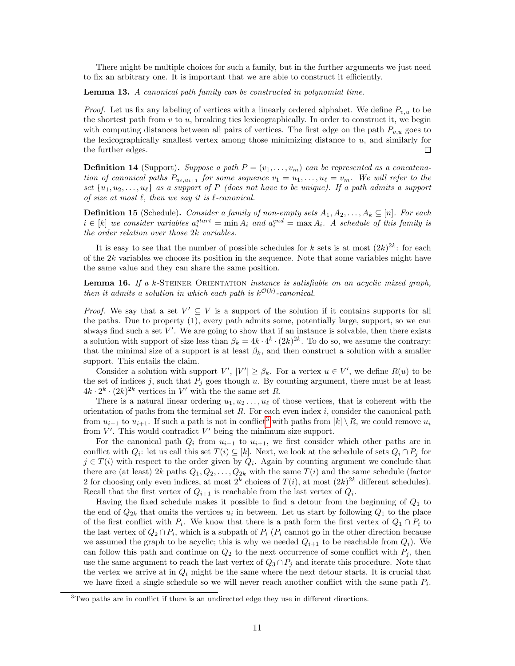There might be multiple choices for such a family, but in the further arguments we just need to fix an arbitrary one. It is important that we are able to construct it efficiently.

<span id="page-10-2"></span>Lemma 13. A canonical path family can be constructed in polynomial time.

*Proof.* Let us fix any labeling of vertices with a linearly ordered alphabet. We define  $P_{v,u}$  to be the shortest path from  $v$  to  $u$ , breaking ties lexicographically. In order to construct it, we begin with computing distances between all pairs of vertices. The first edge on the path  $P_{v,u}$  goes to the lexicographically smallest vertex among those minimizing distance to  $u$ , and similarly for the further edges.  $\Box$ 

**Definition 14** (Support). Suppose a path  $P = (v_1, \ldots, v_m)$  can be represented as a concatenation of canonical paths  $P_{u_i, u_{i+1}}$  for some sequence  $v_1 = u_1, \ldots, u_\ell = v_m$ . We will refer to the set  $\{u_1, u_2, \ldots, u_\ell\}$  as a support of P (does not have to be unique). If a path admits a support of size at most  $\ell$ , then we say it is  $\ell$ -canonical.

**Definition 15** (Schedule). Consider a family of non-empty sets  $A_1, A_2, \ldots, A_k \subseteq [n]$ . For each  $i \in [k]$  we consider variables  $a_i^{start} = \min A_i$  and  $a_i^{end} = \max A_i$ . A schedule of this family is the order relation over those 2k variables.

It is easy to see that the number of possible schedules for k sets is at most  $(2k)^{2k}$ : for each of the  $2k$  variables we choose its position in the sequence. Note that some variables might have the same value and they can share the same position.

<span id="page-10-1"></span>**Lemma 16.** If a  $k$ -STEINER ORIENTATION *instance is satisfiable on an acyclic mixed graph*, then it admits a solution in which each path is  $k^{\mathcal{O}(k)}$ -canonical.

*Proof.* We say that a set  $V' \subseteq V$  is a support of the solution if it contains supports for all the paths. Due to property (1), every path admits some, potentially large, support, so we can always find such a set  $V'$ . We are going to show that if an instance is solvable, then there exists a solution with support of size less than  $\beta_k = 4k \cdot 4^k \cdot (2k)^{2k}$ . To do so, we assume the contrary: that the minimal size of a support is at least  $\beta_k$ , and then construct a solution with a smaller support. This entails the claim.

Consider a solution with support  $V'$ ,  $|V'| \geq \beta_k$ . For a vertex  $u \in V'$ , we define  $R(u)$  to be the set of indices j, such that  $P_i$  goes though u. By counting argument, there must be at least  $4k \cdot 2^k \cdot (2k)^{2k}$  vertices in V' with the the same set R.

There is a natural linear ordering  $u_1, u_2, \ldots, u_\ell$  of those vertices, that is coherent with the orientation of paths from the terminal set  $R$ . For each even index  $i$ , consider the canonical path from  $u_{i-1}$  to  $u_{i+1}$ . If such a path is not in conflict<sup>[3](#page-10-0)</sup> with paths from  $[k] \setminus R$ , we could remove  $u_i$ from  $V'$ . This would contradict  $V'$  being the minimum size support.

For the canonical path  $Q_i$  from  $u_{i-1}$  to  $u_{i+1}$ , we first consider which other paths are in conflict with  $Q_i$ : let us call this set  $T(i) \subseteq [k]$ . Next, we look at the schedule of sets  $Q_i \cap P_j$  for  $j \in T(i)$  with respect to the order given by  $Q_i$ . Again by counting argument we conclude that there are (at least)  $2k$  paths  $Q_1, Q_2, \ldots, Q_{2k}$  with the same  $T(i)$  and the same schedule (factor 2 for choosing only even indices, at most  $2^k$  choices of  $T(i)$ , at most  $(2k)^{2k}$  different schedules). Recall that the first vertex of  $Q_{i+1}$  is reachable from the last vertex of  $Q_i$ .

Having the fixed schedule makes it possible to find a detour from the beginning of  $Q_1$  to the end of  $Q_{2k}$  that omits the vertices  $u_i$  in between. Let us start by following  $Q_1$  to the place of the first conflict with  $P_i$ . We know that there is a path form the first vertex of  $Q_1 \cap P_i$  to the last vertex of  $Q_2 \cap P_i$ , which is a subpath of  $P_i$  ( $P_i$  cannot go in the other direction because we assumed the graph to be acyclic; this is why we needed  $Q_{i+1}$  to be reachable from  $Q_i$ ). We can follow this path and continue on  $Q_2$  to the next occurrence of some conflict with  $P_j$ , then use the same argument to reach the last vertex of  $Q_3 \cap P_j$  and iterate this procedure. Note that the vertex we arrive at in  $Q_i$  might be the same where the next detour starts. It is crucial that we have fixed a single schedule so we will never reach another conflict with the same path  $P_i$ .

<span id="page-10-0"></span><sup>&</sup>lt;sup>3</sup>Two paths are in conflict if there is an undirected edge they use in different directions.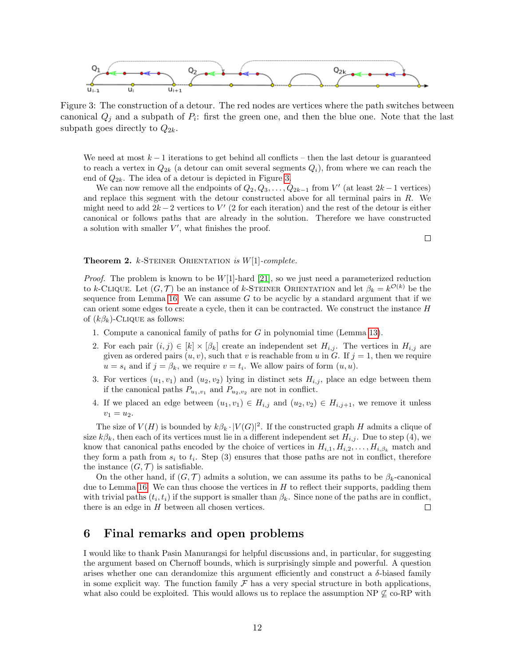<span id="page-11-0"></span>

Figure 3: The construction of a detour. The red nodes are vertices where the path switches between canonical  $Q_j$  and a subpath of  $P_i$ : first the green one, and then the blue one. Note that the last subpath goes directly to  $Q_{2k}$ .

We need at most  $k-1$  iterations to get behind all conflicts – then the last detour is guaranteed to reach a vertex in  $Q_{2k}$  (a detour can omit several segments  $Q_i$ ), from where we can reach the end of  $Q_{2k}$ . The idea of a detour is depicted in Figure [3.](#page-11-0)

We can now remove all the endpoints of  $Q_2, Q_3, \ldots, Q_{2k-1}$  from  $V'$  (at least  $2k-1$  vertices) and replace this segment with the detour constructed above for all terminal pairs in  $R$ . We might need to add  $2k-2$  vertices to  $V'$  (2 for each iteration) and the rest of the detour is either canonical or follows paths that are already in the solution. Therefore we have constructed a solution with smaller  $V'$ , what finishes the proof.

 $\Box$ 

#### **Theorem 2.** k-STEINER ORIENTATION is  $W[1]$ -complete.

*Proof.* The problem is known to be  $W[1]$ -hard [\[21\]](#page-13-5), so we just need a parameterized reduction to k-CLIQUE. Let  $(G, \mathcal{T})$  be an instance of k-STEINER ORIENTATION and let  $\beta_k = k^{\mathcal{O}(k)}$  be the sequence from Lemma [16.](#page-10-1) We can assume  $G$  to be acyclic by a standard argument that if we can orient some edges to create a cycle, then it can be contracted. We construct the instance  $H$ of  $(k\beta_k)$ -CLIQUE as follows:

- 1. Compute a canonical family of paths for G in polynomial time (Lemma [13\)](#page-10-2).
- 2. For each pair  $(i, j) \in [k] \times [\beta_k]$  create an independent set  $H_{i,j}$ . The vertices in  $H_{i,j}$  are given as ordered pairs  $(u, v)$ , such that v is reachable from u in G. If  $j = 1$ , then we require  $u = s_i$  and if  $j = \beta_k$ , we require  $v = t_i$ . We allow pairs of form  $(u, u)$ .
- 3. For vertices  $(u_1, v_1)$  and  $(u_2, v_2)$  lying in distinct sets  $H_{i,j}$ , place an edge between them if the canonical paths  $P_{u_1,v_1}$  and  $P_{u_2,v_2}$  are not in conflict.
- 4. If we placed an edge between  $(u_1, v_1) \in H_{i,j}$  and  $(u_2, v_2) \in H_{i,j+1}$ , we remove it unless  $v_1 = u_2.$

The size of  $V(H)$  is bounded by  $k\beta_k \cdot |V(G)|^2$ . If the constructed graph H admits a clique of size  $k\beta_k$ , then each of its vertices must lie in a different independent set  $H_{i,j}$ . Due to step (4), we know that canonical paths encoded by the choice of vertices in  $H_{i,1}, H_{i,2}, \ldots, H_{i,\beta_k}$  match and they form a path from  $s_i$  to  $t_i$ . Step (3) ensures that those paths are not in conflict, therefore the instance  $(G, \mathcal{T})$  is satisfiable.

On the other hand, if  $(G, \mathcal{T})$  admits a solution, we can assume its paths to be  $\beta_k$ -canonical due to Lemma [16.](#page-10-1) We can thus choose the vertices in  $H$  to reflect their supports, padding them with trivial paths  $(t_i, t_i)$  if the support is smaller than  $\beta_k$ . Since none of the paths are in conflict, there is an edge in  $H$  between all chosen vertices.  $\Box$ 

### 6 Final remarks and open problems

I would like to thank Pasin Manurangsi for helpful discussions and, in particular, for suggesting the argument based on Chernoff bounds, which is surprisingly simple and powerful. A question arises whether one can derandomize this argument efficiently and construct a  $\delta$ -biased family in some explicit way. The function family  $\mathcal F$  has a very special structure in both applications, what also could be exploited. This would allows us to replace the assumption NP  $\mathcal{L}$  co-RP with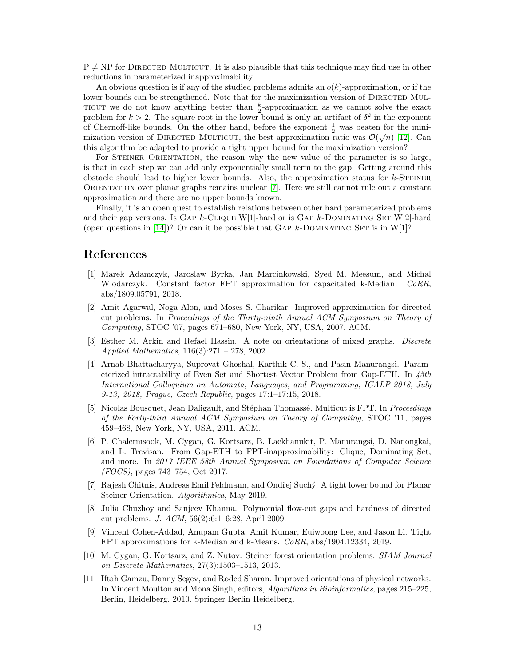$P \neq NP$  for DIRECTED MULTICUT. It is also plausible that this technique may find use in other reductions in parameterized inapproximability.

An obvious question is if any of the studied problems admits an  $o(k)$ -approximation, or if the lower bounds can be strengthened. Note that for the maximization version of DIRECTED MUL-TICUT we do not know anything better than  $\frac{k}{2}$ -approximation as we cannot solve the exact problem for  $k > 2$ . The square root in the lower bound is only an artifact of  $\delta^2$  in the exponent of Chernoff-like bounds. On the other hand, before the exponent  $\frac{1}{2}$  was beaten for the minimization version of DIRECTED MULTICUT, the best approximation ratio was  $\mathcal{O}(\sqrt{n})$  [\[12\]](#page-13-9). Can this algorithm be adapted to provide a tight upper bound for the maximization version?

For STEINER ORIENTATION, the reason why the new value of the parameter is so large, is that in each step we can add only exponentially small term to the gap. Getting around this obstacle should lead to higher lower bounds. Also, the approximation status for  $k$ -STEINER Orientation over planar graphs remains unclear [\[7\]](#page-12-7). Here we still cannot rule out a constant approximation and there are no upper bounds known.

Finally, it is an open quest to establish relations between other hard parameterized problems and their gap versions. Is GAP  $k$ -CLIQUE W[1]-hard or is GAP  $k$ -DOMINATING SET W[2]-hard (open questions in [\[14\]](#page-13-1))? Or can it be possible that GAP k-DOMINATING SET is in W[1]?

### <span id="page-12-1"></span>References

- [1] Marek Adamczyk, Jaroslaw Byrka, Jan Marcinkowski, Syed M. Meesum, and Michal Wlodarczyk. Constant factor FPT approximation for capacitated k-Median. CoRR, abs/1809.05791, 2018.
- <span id="page-12-8"></span>[2] Amit Agarwal, Noga Alon, and Moses S. Charikar. Improved approximation for directed cut problems. In Proceedings of the Thirty-ninth Annual ACM Symposium on Theory of Computing, STOC '07, pages 671–680, New York, NY, USA, 2007. ACM.
- <span id="page-12-5"></span>[3] Esther M. Arkin and Refael Hassin. A note on orientations of mixed graphs. Discrete Applied Mathematics, 116(3):271 – 278, 2002.
- <span id="page-12-3"></span>[4] Arnab Bhattacharyya, Suprovat Ghoshal, Karthik C. S., and Pasin Manurangsi. Parameterized intractability of Even Set and Shortest Vector Problem from Gap-ETH. In 45th International Colloquium on Automata, Languages, and Programming, ICALP 2018, July 9-13, 2018, Prague, Czech Republic, pages 17:1–17:15, 2018.
- <span id="page-12-10"></span>[5] Nicolas Bousquet, Jean Daligault, and Stéphan Thomassé. Multicut is FPT. In *Proceedings* of the Forty-third Annual ACM Symposium on Theory of Computing, STOC '11, pages 459–468, New York, NY, USA, 2011. ACM.
- <span id="page-12-2"></span>[6] P. Chalermsook, M. Cygan, G. Kortsarz, B. Laekhanukit, P. Manurangsi, D. Nanongkai, and L. Trevisan. From Gap-ETH to FPT-inapproximability: Clique, Dominating Set, and more. In 2017 IEEE 58th Annual Symposium on Foundations of Computer Science (FOCS), pages 743–754, Oct 2017.
- <span id="page-12-7"></span>[7] Rajesh Chitnis, Andreas Emil Feldmann, and Ondřej Suchý. A tight lower bound for Planar Steiner Orientation. Algorithmica, May 2019.
- <span id="page-12-9"></span>[8] Julia Chuzhoy and Sanjeev Khanna. Polynomial flow-cut gaps and hardness of directed cut problems. J. ACM, 56(2):6:1–6:28, April 2009.
- <span id="page-12-0"></span>[9] Vincent Cohen-Addad, Anupam Gupta, Amit Kumar, Euiwoong Lee, and Jason Li. Tight FPT approximations for k-Median and k-Means. CoRR, abs/1904.12334, 2019.
- <span id="page-12-6"></span>[10] M. Cygan, G. Kortsarz, and Z. Nutov. Steiner forest orientation problems. SIAM Journal on Discrete Mathematics, 27(3):1503–1513, 2013.
- <span id="page-12-4"></span>[11] Iftah Gamzu, Danny Segev, and Roded Sharan. Improved orientations of physical networks. In Vincent Moulton and Mona Singh, editors, Algorithms in Bioinformatics, pages 215–225, Berlin, Heidelberg, 2010. Springer Berlin Heidelberg.